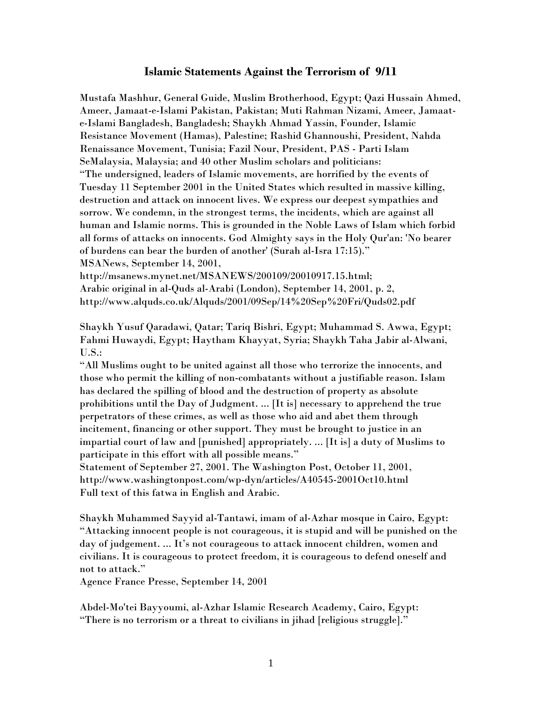# **Islamic Statements Against the Terrorism of 9/11**

Mustafa Mashhur, General Guide, Muslim Brotherhood, Egypt; Qazi Hussain Ahmed, Ameer, Jamaat-e-Islami Pakistan, Pakistan; Muti Rahman Nizami, Ameer, Jamaate-Islami Bangladesh, Bangladesh; Shaykh Ahmad Yassin, Founder, Islamic Resistance Movement (Hamas), Palestine; Rashid Ghannoushi, President, Nahda Renaissance Movement, Tunisia; Fazil Nour, President, PAS - Parti Islam SeMalaysia, Malaysia; and 40 other Muslim scholars and politicians: "The undersigned, leaders of Islamic movements, are horrified by the events of Tuesday 11 September 2001 in the United States which resulted in massive killing, destruction and attack on innocent lives. We express our deepest sympathies and sorrow. We condemn, in the strongest terms, the incidents, which are against all human and Islamic norms. This is grounded in the Noble Laws of Islam which forbid all forms of attacks on innocents. God Almighty says in the Holy Qur'an: 'No bearer of burdens can bear the burden of another' (Surah al-Isra 17:15)." MSANews, September 14, 2001,

http://msanews.mynet.net/MSANEWS/200109/20010917.15.html; Arabic original in al-Quds al-Arabi (London), September 14, 2001, p. 2, http://www.alquds.co.uk/Alquds/2001/09Sep/14%20Sep%20Fri/Quds02.pdf

Shaykh Yusuf Qaradawi, Qatar; Tariq Bishri, Egypt; Muhammad S. Awwa, Egypt; Fahmi Huwaydi, Egypt; Haytham Khayyat, Syria; Shaykh Taha Jabir al-Alwani, U.S.:

"All Muslims ought to be united against all those who terrorize the innocents, and those who permit the killing of non-combatants without a justifiable reason. Islam has declared the spilling of blood and the destruction of property as absolute prohibitions until the Day of Judgment. ... [It is] necessary to apprehend the true perpetrators of these crimes, as well as those who aid and abet them through incitement, financing or other support. They must be brought to justice in an impartial court of law and [punished] appropriately. ... [It is] a duty of Muslims to participate in this effort with all possible means."

Statement of September 27, 2001. The Washington Post, October 11, 2001, http://www.washingtonpost.com/wp-dyn/articles/A40545-2001Oct10.html Full text of this fatwa in English and Arabic.

Shaykh Muhammed Sayyid al-Tantawi, imam of al-Azhar mosque in Cairo, Egypt: "Attacking innocent people is not courageous, it is stupid and will be punished on the day of judgement. ... It's not courageous to attack innocent children, women and civilians. It is courageous to protect freedom, it is courageous to defend oneself and not to attack."

Agence France Presse, September 14, 2001

Abdel-Mo'tei Bayyoumi, al-Azhar Islamic Research Academy, Cairo, Egypt: "There is no terrorism or a threat to civilians in jihad [religious struggle]."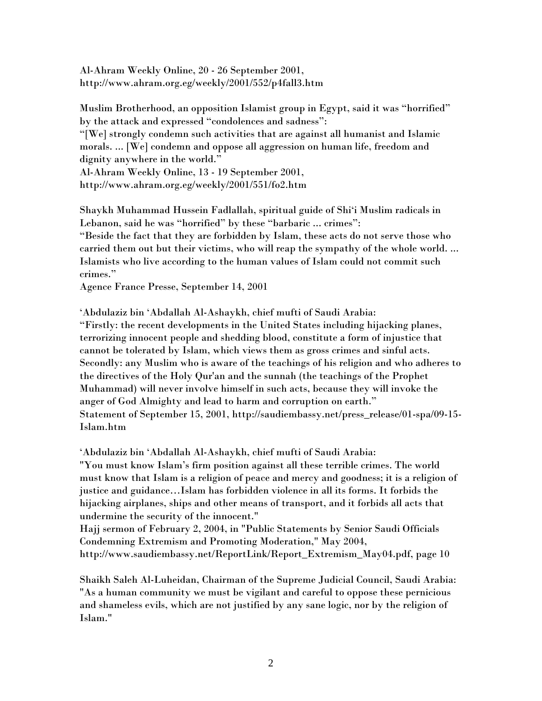Al-Ahram Weekly Online, 20 - 26 September 2001, http://www.ahram.org.eg/weekly/2001/552/p4fall3.htm

Muslim Brotherhood, an opposition Islamist group in Egypt, said it was "horrified" by the attack and expressed "condolences and sadness":

"[We] strongly condemn such activities that are against all humanist and Islamic morals. ... [We] condemn and oppose all aggression on human life, freedom and dignity anywhere in the world."

Al-Ahram Weekly Online, 13 - 19 September 2001, http://www.ahram.org.eg/weekly/2001/551/fo2.htm

Shaykh Muhammad Hussein Fadlallah, spiritual guide of Shi'i Muslim radicals in Lebanon, said he was "horrified" by these "barbaric ... crimes":

"Beside the fact that they are forbidden by Islam, these acts do not serve those who carried them out but their victims, who will reap the sympathy of the whole world. ... Islamists who live according to the human values of Islam could not commit such crimes."

Agence France Presse, September 14, 2001

'Abdulaziz bin 'Abdallah Al-Ashaykh, chief mufti of Saudi Arabia: "Firstly: the recent developments in the United States including hijacking planes, terrorizing innocent people and shedding blood, constitute a form of injustice that cannot be tolerated by Islam, which views them as gross crimes and sinful acts. Secondly: any Muslim who is aware of the teachings of his religion and who adheres to the directives of the Holy Qur'an and the sunnah (the teachings of the Prophet Muhammad) will never involve himself in such acts, because they will invoke the anger of God Almighty and lead to harm and corruption on earth." Statement of September 15, 2001, http://saudiembassy.net/press\_release/01-spa/09-15- Islam.htm

'Abdulaziz bin 'Abdallah Al-Ashaykh, chief mufti of Saudi Arabia: "You must know Islam's firm position against all these terrible crimes. The world must know that Islam is a religion of peace and mercy and goodness; it is a religion of justice and guidance…Islam has forbidden violence in all its forms. It forbids the hijacking airplanes, ships and other means of transport, and it forbids all acts that undermine the security of the innocent."

Hajj sermon of February 2, 2004, in "Public Statements by Senior Saudi Officials Condemning Extremism and Promoting Moderation," May 2004, http://www.saudiembassy.net/ReportLink/Report\_Extremism\_May04.pdf, page 10

Shaikh Saleh Al-Luheidan, Chairman of the Supreme Judicial Council, Saudi Arabia: "As a human community we must be vigilant and careful to oppose these pernicious and shameless evils, which are not justified by any sane logic, nor by the religion of Islam."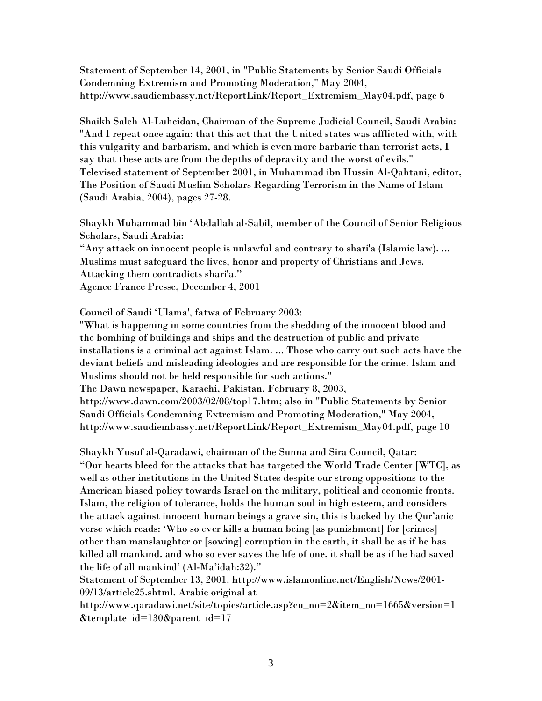Statement of September 14, 2001, in "Public Statements by Senior Saudi Officials Condemning Extremism and Promoting Moderation," May 2004, http://www.saudiembassy.net/ReportLink/Report\_Extremism\_May04.pdf, page 6

Shaikh Saleh Al-Luheidan, Chairman of the Supreme Judicial Council, Saudi Arabia: "And I repeat once again: that this act that the United states was afflicted with, with this vulgarity and barbarism, and which is even more barbaric than terrorist acts, I say that these acts are from the depths of depravity and the worst of evils." Televised statement of September 2001, in Muhammad ibn Hussin Al-Qahtani, editor, The Position of Saudi Muslim Scholars Regarding Terrorism in the Name of Islam (Saudi Arabia, 2004), pages 27-28.

Shaykh Muhammad bin 'Abdallah al-Sabil, member of the Council of Senior Religious Scholars, Saudi Arabia:

"Any attack on innocent people is unlawful and contrary to shari'a (Islamic law). ... Muslims must safeguard the lives, honor and property of Christians and Jews. Attacking them contradicts shari'a." Agence France Presse, December 4, 2001

Council of Saudi 'Ulama', fatwa of February 2003:

"What is happening in some countries from the shedding of the innocent blood and the bombing of buildings and ships and the destruction of public and private installations is a criminal act against Islam. ... Those who carry out such acts have the deviant beliefs and misleading ideologies and are responsible for the crime. Islam and Muslims should not be held responsible for such actions."

The Dawn newspaper, Karachi, Pakistan, February 8, 2003,

http://www.dawn.com/2003/02/08/top17.htm; also in "Public Statements by Senior Saudi Officials Condemning Extremism and Promoting Moderation," May 2004, http://www.saudiembassy.net/ReportLink/Report\_Extremism\_May04.pdf, page 10

Shaykh Yusuf al-Qaradawi, chairman of the Sunna and Sira Council, Qatar: "Our hearts bleed for the attacks that has targeted the World Trade Center [WTC], as well as other institutions in the United States despite our strong oppositions to the American biased policy towards Israel on the military, political and economic fronts. Islam, the religion of tolerance, holds the human soul in high esteem, and considers the attack against innocent human beings a grave sin, this is backed by the Qur'anic verse which reads: 'Who so ever kills a human being [as punishment] for [crimes] other than manslaughter or [sowing] corruption in the earth, it shall be as if he has killed all mankind, and who so ever saves the life of one, it shall be as if he had saved the life of all mankind' (Al-Ma'idah:32)."

Statement of September 13, 2001. http://www.islamonline.net/English/News/2001- 09/13/article25.shtml. Arabic original at

http://www.qaradawi.net/site/topics/article.asp?cu\_no=2&item\_no=1665&version=1 &template\_id=130&parent\_id=17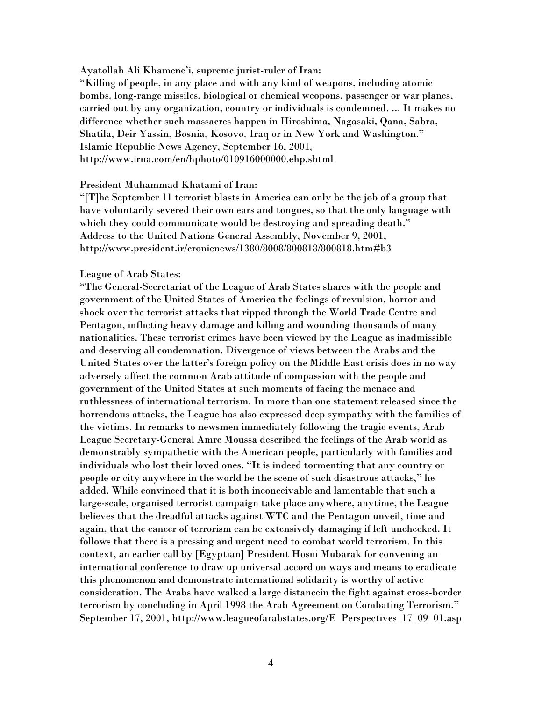Ayatollah Ali Khamene'i, supreme jurist-ruler of Iran:

"Killing of people, in any place and with any kind of weapons, including atomic bombs, long-range missiles, biological or chemical weopons, passenger or war planes, carried out by any organization, country or individuals is condemned. ... It makes no difference whether such massacres happen in Hiroshima, Nagasaki, Qana, Sabra, Shatila, Deir Yassin, Bosnia, Kosovo, Iraq or in New York and Washington." Islamic Republic News Agency, September 16, 2001, http://www.irna.com/en/hphoto/010916000000.ehp.shtml

#### President Muhammad Khatami of Iran:

"[T]he September 11 terrorist blasts in America can only be the job of a group that have voluntarily severed their own ears and tongues, so that the only language with which they could communicate would be destroying and spreading death." Address to the United Nations General Assembly, November 9, 2001, http://www.president.ir/cronicnews/1380/8008/800818/800818.htm#b3

#### League of Arab States:

"The General-Secretariat of the League of Arab States shares with the people and government of the United States of America the feelings of revulsion, horror and shock over the terrorist attacks that ripped through the World Trade Centre and Pentagon, inflicting heavy damage and killing and wounding thousands of many nationalities. These terrorist crimes have been viewed by the League as inadmissible and deserving all condemnation. Divergence of views between the Arabs and the United States over the latter's foreign policy on the Middle East crisis does in no way adversely affect the common Arab attitude of compassion with the people and government of the United States at such moments of facing the menace and ruthlessness of international terrorism. In more than one statement released since the horrendous attacks, the League has also expressed deep sympathy with the families of the victims. In remarks to newsmen immediately following the tragic events, Arab League Secretary-General Amre Moussa described the feelings of the Arab world as demonstrably sympathetic with the American people, particularly with families and individuals who lost their loved ones. "It is indeed tormenting that any country or people or city anywhere in the world be the scene of such disastrous attacks," he added. While convinced that it is both inconceivable and lamentable that such a large-scale, organised terrorist campaign take place anywhere, anytime, the League believes that the dreadful attacks against WTC and the Pentagon unveil, time and again, that the cancer of terrorism can be extensively damaging if left unchecked. It follows that there is a pressing and urgent need to combat world terrorism. In this context, an earlier call by [Egyptian] President Hosni Mubarak for convening an international conference to draw up universal accord on ways and means to eradicate this phenomenon and demonstrate international solidarity is worthy of active consideration. The Arabs have walked a large distancein the fight against cross-border terrorism by concluding in April 1998 the Arab Agreement on Combating Terrorism." September 17, 2001, http://www.leagueofarabstates.org/E\_Perspectives\_17\_09\_01.asp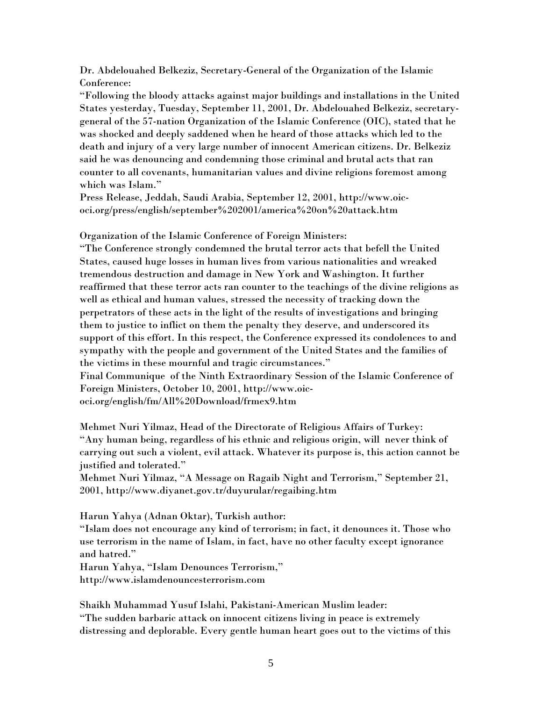Dr. Abdelouahed Belkeziz, Secretary-General of the Organization of the Islamic Conference:

"Following the bloody attacks against major buildings and installations in the United States yesterday, Tuesday, September 11, 2001, Dr. Abdelouahed Belkeziz, secretarygeneral of the 57-nation Organization of the Islamic Conference (OIC), stated that he was shocked and deeply saddened when he heard of those attacks which led to the death and injury of a very large number of innocent American citizens. Dr. Belkeziz said he was denouncing and condemning those criminal and brutal acts that ran counter to all covenants, humanitarian values and divine religions foremost among which was Islam."

Press Release, Jeddah, Saudi Arabia, September 12, 2001, http://www.oicoci.org/press/english/september%202001/america%20on%20attack.htm

Organization of the Islamic Conference of Foreign Ministers:

"The Conference strongly condemned the brutal terror acts that befell the United States, caused huge losses in human lives from various nationalities and wreaked tremendous destruction and damage in New York and Washington. It further reaffirmed that these terror acts ran counter to the teachings of the divine religions as well as ethical and human values, stressed the necessity of tracking down the perpetrators of these acts in the light of the results of investigations and bringing them to justice to inflict on them the penalty they deserve, and underscored its support of this effort. In this respect, the Conference expressed its condolences to and sympathy with the people and government of the United States and the families of the victims in these mournful and tragic circumstances."

Final Communique of the Ninth Extraordinary Session of the Islamic Conference of Foreign Ministers, October 10, 2001, http://www.oicoci.org/english/fm/All%20Download/frmex9.htm

Mehmet Nuri Yilmaz, Head of the Directorate of Religious Affairs of Turkey: "Any human being, regardless of his ethnic and religious origin, will never think of carrying out such a violent, evil attack. Whatever its purpose is, this action cannot be justified and tolerated."

Mehmet Nuri Yilmaz, "A Message on Ragaib Night and Terrorism," September 21, 2001, http://www.diyanet.gov.tr/duyurular/regaibing.htm

Harun Yahya (Adnan Oktar), Turkish author:

"Islam does not encourage any kind of terrorism; in fact, it denounces it. Those who use terrorism in the name of Islam, in fact, have no other faculty except ignorance and hatred."

Harun Yahya, "Islam Denounces Terrorism,"

http://www.islamdenouncesterrorism.com

Shaikh Muhammad Yusuf Islahi, Pakistani-American Muslim leader: "The sudden barbaric attack on innocent citizens living in peace is extremely distressing and deplorable. Every gentle human heart goes out to the victims of this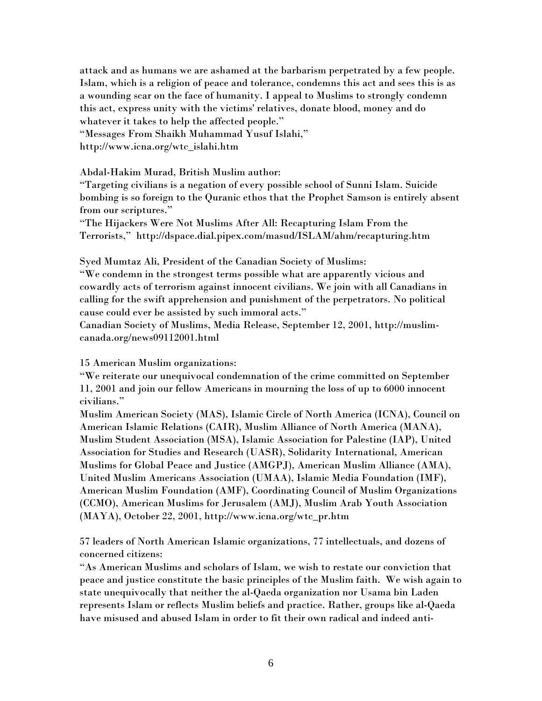attack and as humans we are ashamed at the barbarism perpetrated by a few people. Islam, which is a religion of peace and tolerance, condemns this act and sees this is as a wounding scar on the face of humanity. I appeal to Muslims to strongly condemn this act, express unity with the victims' relatives, donate blood, money and do whatever it takes to help the affected people." "Messages From Shaikh Muhammad Yusuf Islahi,"

http://www.icna.org/wtc\_islahi.htm

# Abdal-Hakim Murad, British Muslim author:

"Targeting civilians is a negation of every possible school of Sunni Islam. Suicide bombing is so foreign to the Quranic ethos that the Prophet Samson is entirely absent from our scriptures."

"The Hijackers Were Not Muslims After All: Recapturing Islam From the Terrorists," http://dspace.dial.pipex.com/masud/ISLAM/ahm/recapturing.htm

Syed Mumtaz Ali, President of the Canadian Society of Muslims:

"We condemn in the strongest terms possible what are apparently vicious and cowardly acts of terrorism against innocent civilians. We join with all Canadians in calling for the swift apprehension and punishment of the perpetrators. No political cause could ever be assisted by such immoral acts."

Canadian Society of Muslims, Media Release, September 12, 2001, http://muslimcanada.org/news09112001.html

15 American Muslim organizations:

"We reiterate our unequivocal condemnation of the crime committed on September 11, 2001 and join our fellow Americans in mourning the loss of up to 6000 innocent civilians."

Muslim American Society (MAS), Islamic Circle of North America (ICNA), Council on American Islamic Relations (CAIR), Muslim Alliance of North America (MANA), Muslim Student Association (MSA), Islamic Association for Palestine (IAP), United Association for Studies and Research (UASR), Solidarity International, American Muslims for Global Peace and Justice (AMGPJ), American Muslim Alliance (AMA), United Muslim Americans Association (UMAA), Islamic Media Foundation (IMF), American Muslim Foundation (AMF), Coordinating Council of Muslim Organizations (CCMO), American Muslims for Jerusalem (AMJ), Muslim Arab Youth Association (MAYA), October 22, 2001, http://www.icna.org/wtc\_pr.htm

57 leaders of North American Islamic organizations, 77 intellectuals, and dozens of concerned citizens:

"As American Muslims and scholars of Islam, we wish to restate our conviction that peace and justice constitute the basic principles of the Muslim faith. We wish again to state unequivocally that neither the al-Qaeda organization nor Usama bin Laden represents Islam or reflects Muslim beliefs and practice. Rather, groups like al-Qaeda have misused and abused Islam in order to fit their own radical and indeed anti-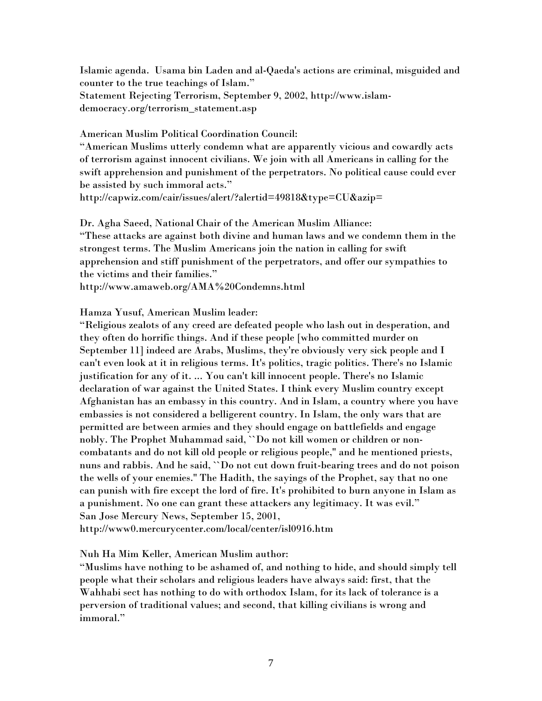Islamic agenda. Usama bin Laden and al-Qaeda's actions are criminal, misguided and counter to the true teachings of Islam." Statement Rejecting Terrorism, September 9, 2002, http://www.islamdemocracy.org/terrorism\_statement.asp

American Muslim Political Coordination Council:

"American Muslims utterly condemn what are apparently vicious and cowardly acts of terrorism against innocent civilians. We join with all Americans in calling for the swift apprehension and punishment of the perpetrators. No political cause could ever be assisted by such immoral acts."

http://capwiz.com/cair/issues/alert/?alertid=49818&type=CU&azip=

Dr. Agha Saeed, National Chair of the American Muslim Alliance: "These attacks are against both divine and human laws and we condemn them in the strongest terms. The Muslim Americans join the nation in calling for swift apprehension and stiff punishment of the perpetrators, and offer our sympathies to the victims and their families."

http://www.amaweb.org/AMA%20Condemns.html

Hamza Yusuf, American Muslim leader:

"Religious zealots of any creed are defeated people who lash out in desperation, and they often do horrific things. And if these people [who committed murder on September 11] indeed are Arabs, Muslims, they're obviously very sick people and I can't even look at it in religious terms. It's politics, tragic politics. There's no Islamic justification for any of it. ... You can't kill innocent people. There's no Islamic declaration of war against the United States. I think every Muslim country except Afghanistan has an embassy in this country. And in Islam, a country where you have embassies is not considered a belligerent country. In Islam, the only wars that are permitted are between armies and they should engage on battlefields and engage nobly. The Prophet Muhammad said, ``Do not kill women or children or noncombatants and do not kill old people or religious people,'' and he mentioned priests, nuns and rabbis. And he said, ``Do not cut down fruit-bearing trees and do not poison the wells of your enemies.'' The Hadith, the sayings of the Prophet, say that no one can punish with fire except the lord of fire. It's prohibited to burn anyone in Islam as a punishment. No one can grant these attackers any legitimacy. It was evil." San Jose Mercury News, September 15, 2001, http://www0.mercurycenter.com/local/center/isl0916.htm

Nuh Ha Mim Keller, American Muslim author:

"Muslims have nothing to be ashamed of, and nothing to hide, and should simply tell people what their scholars and religious leaders have always said: first, that the Wahhabi sect has nothing to do with orthodox Islam, for its lack of tolerance is a perversion of traditional values; and second, that killing civilians is wrong and immoral."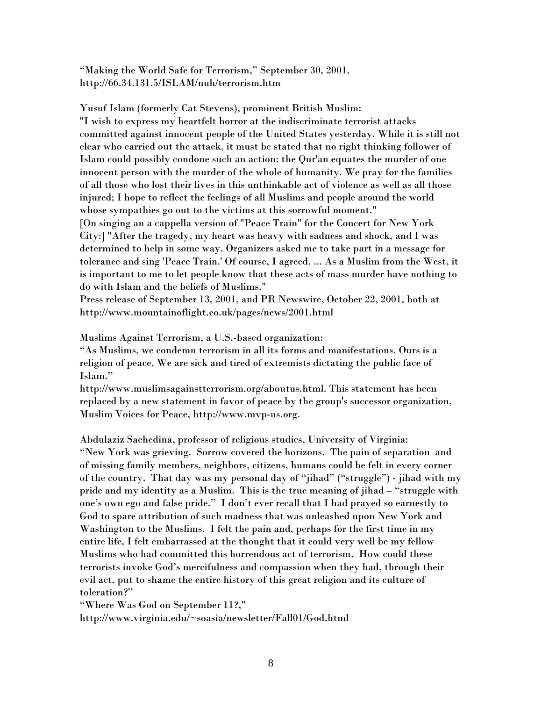"Making the World Safe for Terrorism," September 30, 2001, http://66.34.131.5/ISLAM/nuh/terrorism.htm

Yusuf Islam (formerly Cat Stevens), prominent British Muslim: "I wish to express my heartfelt horror at the indiscriminate terrorist attacks committed against innocent people of the United States yesterday. While it is still not clear who carried out the attack, it must be stated that no right thinking follower of Islam could possibly condone such an action: the Qur'an equates the murder of one innocent person with the murder of the whole of humanity. We pray for the families of all those who lost their lives in this unthinkable act of violence as well as all those injured; I hope to reflect the feelings of all Muslims and people around the world whose sympathies go out to the victims at this sorrowful moment." [On singing an a cappella version of "Peace Train" for the Concert for New York City:] "After the tragedy, my heart was heavy with sadness and shock, and I was determined to help in some way. Organizers asked me to take part in a message for tolerance and sing 'Peace Train.' Of course, I agreed. ... As a Muslim from the West, it is important to me to let people know that these acts of mass murder have nothing to do with Islam and the beliefs of Muslims."

Press release of September 13, 2001, and PR Newswire, October 22, 2001, both at http://www.mountainoflight.co.uk/pages/news/2001.html

Muslims Against Terrorism, a U.S.-based organization:

"As Muslims, we condemn terrorism in all its forms and manifestations. Ours is a religion of peace. We are sick and tired of extremists dictating the public face of Islam."

http://www.muslimsagainstterrorism.org/aboutus.html. This statement has been replaced by a new statement in favor of peace by the group's successor organization, Muslim Voices for Peace, http://www.mvp-us.org.

Abdulaziz Sachedina, professor of religious studies, University of Virginia: "New York was grieving. Sorrow covered the horizons. The pain of separation and of missing family members, neighbors, citizens, humans could be felt in every corner of the country. That day was my personal day of "jihad" ("struggle") - jihad with my pride and my identity as a Muslim. This is the true meaning of jihad – "struggle with one's own ego and false pride." I don't ever recall that I had prayed so earnestly to God to spare attribution of such madness that was unleashed upon New York and Washington to the Muslims. I felt the pain and, perhaps for the first time in my entire life, I felt embarrassed at the thought that it could very well be my fellow Muslims who had committed this horrendous act of terrorism. How could these terrorists invoke God's mercifulness and compassion when they had, through their evil act, put to shame the entire history of this great religion and its culture of toleration?"

"Where Was God on September 11?,"

http://www.virginia.edu/~soasia/newsletter/Fall01/God.html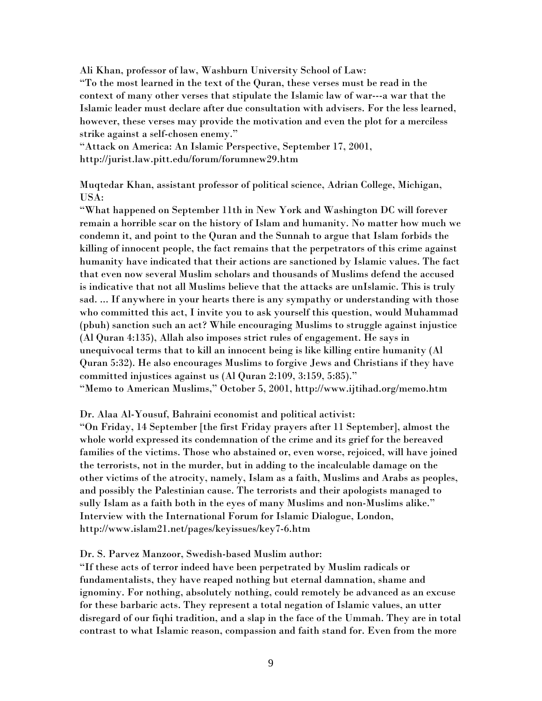Ali Khan, professor of law, Washburn University School of Law:

"To the most learned in the text of the Quran, these verses must be read in the context of many other verses that stipulate the Islamic law of war---a war that the Islamic leader must declare after due consultation with advisers. For the less learned, however, these verses may provide the motivation and even the plot for a merciless strike against a self-chosen enemy."

"Attack on America: An Islamic Perspective, September 17, 2001, http://jurist.law.pitt.edu/forum/forumnew29.htm

Muqtedar Khan, assistant professor of political science, Adrian College, Michigan, USA:

"What happened on September 11th in New York and Washington DC will forever remain a horrible scar on the history of Islam and humanity. No matter how much we condemn it, and point to the Quran and the Sunnah to argue that Islam forbids the killing of innocent people, the fact remains that the perpetrators of this crime against humanity have indicated that their actions are sanctioned by Islamic values. The fact that even now several Muslim scholars and thousands of Muslims defend the accused is indicative that not all Muslims believe that the attacks are unIslamic. This is truly sad. ... If anywhere in your hearts there is any sympathy or understanding with those who committed this act, I invite you to ask yourself this question, would Muhammad (pbuh) sanction such an act? While encouraging Muslims to struggle against injustice (Al Quran 4:135), Allah also imposes strict rules of engagement. He says in unequivocal terms that to kill an innocent being is like killing entire humanity (Al Quran 5:32). He also encourages Muslims to forgive Jews and Christians if they have committed injustices against us (Al Quran 2:109, 3:159, 5:85)." "Memo to American Muslims," October 5, 2001, http://www.ijtihad.org/memo.htm

## Dr. Alaa Al-Yousuf, Bahraini economist and political activist:

"On Friday, 14 September [the first Friday prayers after 11 September], almost the whole world expressed its condemnation of the crime and its grief for the bereaved families of the victims. Those who abstained or, even worse, rejoiced, will have joined the terrorists, not in the murder, but in adding to the incalculable damage on the other victims of the atrocity, namely, Islam as a faith, Muslims and Arabs as peoples, and possibly the Palestinian cause. The terrorists and their apologists managed to sully Islam as a faith both in the eyes of many Muslims and non-Muslims alike." Interview with the International Forum for Islamic Dialogue, London, http://www.islam21.net/pages/keyissues/key7-6.htm

Dr. S. Parvez Manzoor, Swedish-based Muslim author:

"If these acts of terror indeed have been perpetrated by Muslim radicals or fundamentalists, they have reaped nothing but eternal damnation, shame and ignominy. For nothing, absolutely nothing, could remotely be advanced as an excuse for these barbaric acts. They represent a total negation of Islamic values, an utter disregard of our fiqhi tradition, and a slap in the face of the Ummah. They are in total contrast to what Islamic reason, compassion and faith stand for. Even from the more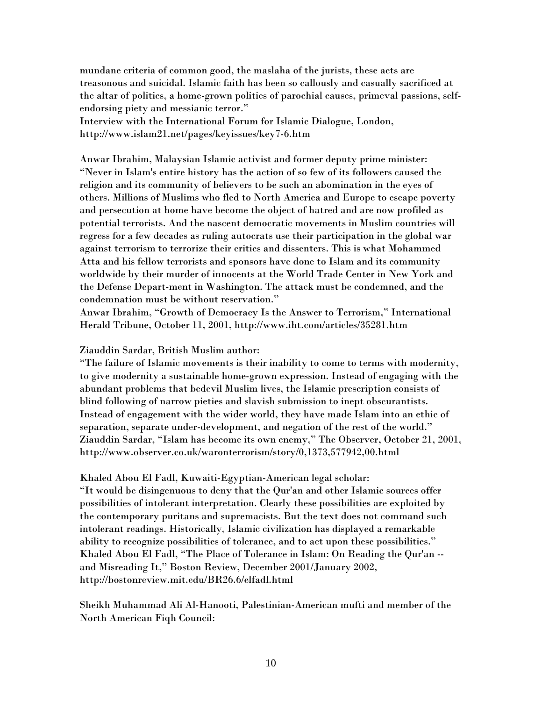mundane criteria of common good, the maslaha of the jurists, these acts are treasonous and suicidal. Islamic faith has been so callously and casually sacrificed at the altar of politics, a home-grown politics of parochial causes, primeval passions, selfendorsing piety and messianic terror." Interview with the International Forum for Islamic Dialogue, London, http://www.islam21.net/pages/keyissues/key7-6.htm

Anwar Ibrahim, Malaysian Islamic activist and former deputy prime minister: "Never in Islam's entire history has the action of so few of its followers caused the religion and its community of believers to be such an abomination in the eyes of others. Millions of Muslims who fled to North America and Europe to escape poverty and persecution at home have become the object of hatred and are now profiled as potential terrorists. And the nascent democratic movements in Muslim countries will regress for a few decades as ruling autocrats use their participation in the global war against terrorism to terrorize their critics and dissenters. This is what Mohammed Atta and his fellow terrorists and sponsors have done to Islam and its community worldwide by their murder of innocents at the World Trade Center in New York and the Defense Depart-ment in Washington. The attack must be condemned, and the condemnation must be without reservation."

Anwar Ibrahim, "Growth of Democracy Is the Answer to Terrorism," International Herald Tribune, October 11, 2001, http://www.iht.com/articles/35281.htm

Ziauddin Sardar, British Muslim author:

"The failure of Islamic movements is their inability to come to terms with modernity, to give modernity a sustainable home-grown expression. Instead of engaging with the abundant problems that bedevil Muslim lives, the Islamic prescription consists of blind following of narrow pieties and slavish submission to inept obscurantists. Instead of engagement with the wider world, they have made Islam into an ethic of separation, separate under-development, and negation of the rest of the world." Ziauddin Sardar, "Islam has become its own enemy," The Observer, October 21, 2001, http://www.observer.co.uk/waronterrorism/story/0,1373,577942,00.html

Khaled Abou El Fadl, Kuwaiti-Egyptian-American legal scholar: "It would be disingenuous to deny that the Qur'an and other Islamic sources offer possibilities of intolerant interpretation. Clearly these possibilities are exploited by the contemporary puritans and supremacists. But the text does not command such intolerant readings. Historically, Islamic civilization has displayed a remarkable ability to recognize possibilities of tolerance, and to act upon these possibilities." Khaled Abou El Fadl, "The Place of Tolerance in Islam: On Reading the Qur'an - and Misreading It," Boston Review, December 2001/January 2002, http://bostonreview.mit.edu/BR26.6/elfadl.html

Sheikh Muhammad Ali Al-Hanooti, Palestinian-American mufti and member of the North American Fiqh Council: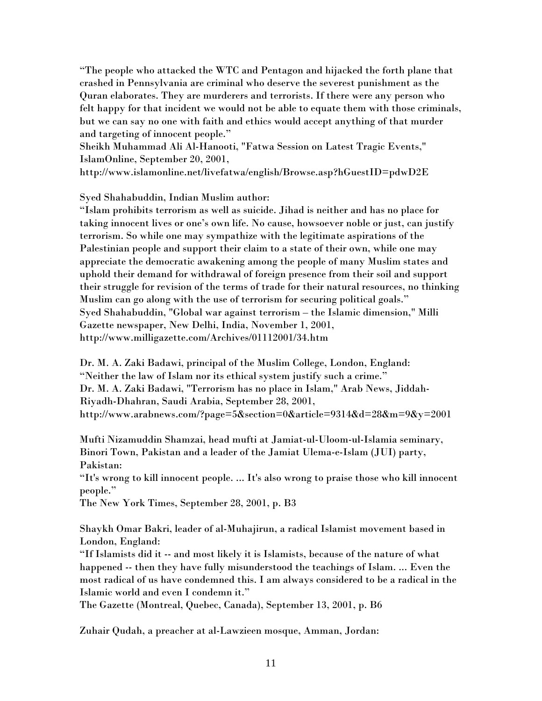"The people who attacked the WTC and Pentagon and hijacked the forth plane that crashed in Pennsylvania are criminal who deserve the severest punishment as the Quran elaborates. They are murderers and terrorists. If there were any person who felt happy for that incident we would not be able to equate them with those criminals, but we can say no one with faith and ethics would accept anything of that murder and targeting of innocent people."

Sheikh Muhammad Ali Al-Hanooti, "Fatwa Session on Latest Tragic Events," IslamOnline, September 20, 2001,

http://www.islamonline.net/livefatwa/english/Browse.asp?hGuestID=pdwD2E

Syed Shahabuddin, Indian Muslim author:

"Islam prohibits terrorism as well as suicide. Jihad is neither and has no place for taking innocent lives or one's own life. No cause, howsoever noble or just, can justify terrorism. So while one may sympathize with the legitimate aspirations of the Palestinian people and support their claim to a state of their own, while one may appreciate the democratic awakening among the people of many Muslim states and uphold their demand for withdrawal of foreign presence from their soil and support their struggle for revision of the terms of trade for their natural resources, no thinking Muslim can go along with the use of terrorism for securing political goals." Syed Shahabuddin, "Global war against terrorism – the Islamic dimension," Milli Gazette newspaper, New Delhi, India, November 1, 2001, http://www.milligazette.com/Archives/01112001/34.htm

Dr. M. A. Zaki Badawi, principal of the Muslim College, London, England: "Neither the law of Islam nor its ethical system justify such a crime." Dr. M. A. Zaki Badawi, "Terrorism has no place in Islam," Arab News, Jiddah-Riyadh-Dhahran, Saudi Arabia, September 28, 2001, http://www.arabnews.com/?page=5&section=0&article=9314&d=28&m=9&y=2001

Mufti Nizamuddin Shamzai, head mufti at Jamiat-ul-Uloom-ul-Islamia seminary, Binori Town, Pakistan and a leader of the Jamiat Ulema-e-Islam (JUI) party, Pakistan:

"It's wrong to kill innocent people. ... It's also wrong to praise those who kill innocent people."

The New York Times, September 28, 2001, p. B3

Shaykh Omar Bakri, leader of al-Muhajirun, a radical Islamist movement based in London, England:

"If Islamists did it -- and most likely it is Islamists, because of the nature of what happened -- then they have fully misunderstood the teachings of Islam. ... Even the most radical of us have condemned this. I am always considered to be a radical in the Islamic world and even I condemn it."

The Gazette (Montreal, Quebec, Canada), September 13, 2001, p. B6

Zuhair Qudah, a preacher at al-Lawzieen mosque, Amman, Jordan: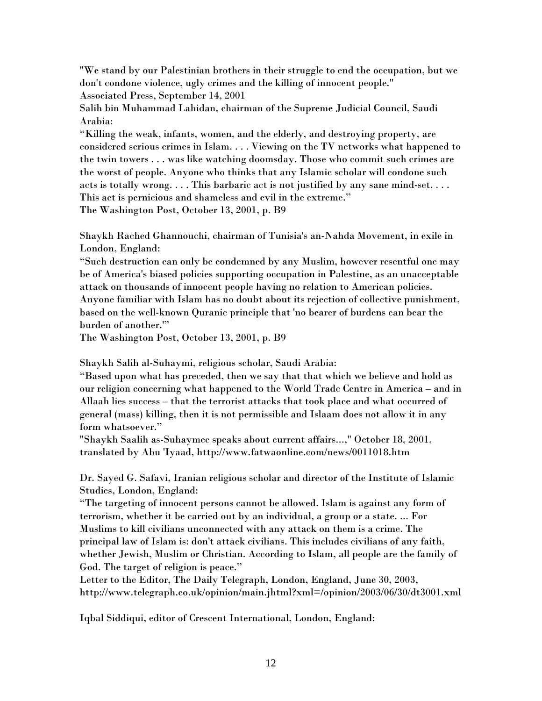"We stand by our Palestinian brothers in their struggle to end the occupation, but we don't condone violence, ugly crimes and the killing of innocent people." Associated Press, September 14, 2001

Salih bin Muhammad Lahidan, chairman of the Supreme Judicial Council, Saudi Arabia:

"Killing the weak, infants, women, and the elderly, and destroying property, are considered serious crimes in Islam. . . . Viewing on the TV networks what happened to the twin towers . . . was like watching doomsday. Those who commit such crimes are the worst of people. Anyone who thinks that any Islamic scholar will condone such acts is totally wrong. . . . This barbaric act is not justified by any sane mind-set. . . . This act is pernicious and shameless and evil in the extreme."

The Washington Post, October 13, 2001, p. B9

Shaykh Rached Ghannouchi, chairman of Tunisia's an-Nahda Movement, in exile in London, England:

"Such destruction can only be condemned by any Muslim, however resentful one may be of America's biased policies supporting occupation in Palestine, as an unacceptable attack on thousands of innocent people having no relation to American policies. Anyone familiar with Islam has no doubt about its rejection of collective punishment, based on the well-known Quranic principle that 'no bearer of burdens can bear the burden of another.'"

The Washington Post, October 13, 2001, p. B9

Shaykh Salih al-Suhaymi, religious scholar, Saudi Arabia:

"Based upon what has preceded, then we say that that which we believe and hold as our religion concerning what happened to the World Trade Centre in America – and in Allaah lies success – that the terrorist attacks that took place and what occurred of general (mass) killing, then it is not permissible and Islaam does not allow it in any form whatsoever."

"Shaykh Saalih as-Suhaymee speaks about current affairs...," October 18, 2001, translated by Abu 'Iyaad, http://www.fatwaonline.com/news/0011018.htm

Dr. Sayed G. Safavi, Iranian religious scholar and director of the Institute of Islamic Studies, London, England:

"The targeting of innocent persons cannot be allowed. Islam is against any form of terrorism, whether it be carried out by an individual, a group or a state. ... For Muslims to kill civilians unconnected with any attack on them is a crime. The principal law of Islam is: don't attack civilians. This includes civilians of any faith, whether Jewish, Muslim or Christian. According to Islam, all people are the family of God. The target of religion is peace."

Letter to the Editor, The Daily Telegraph, London, England, June 30, 2003, http://www.telegraph.co.uk/opinion/main.jhtml?xml=/opinion/2003/06/30/dt3001.xml

Iqbal Siddiqui, editor of Crescent International, London, England: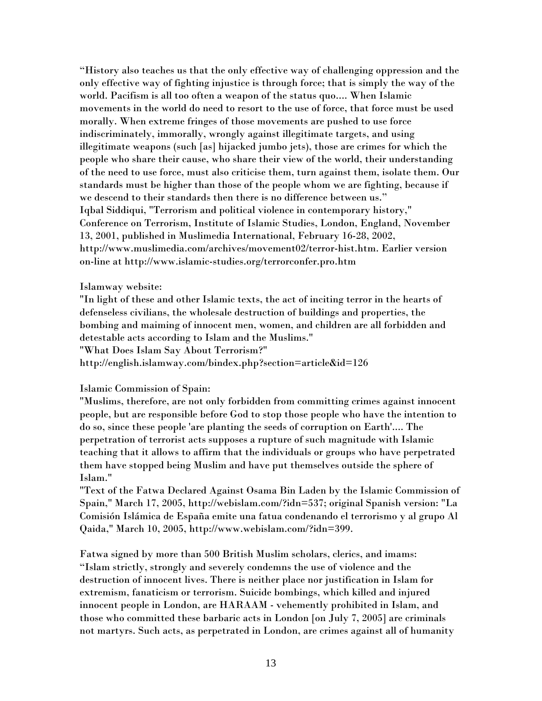"History also teaches us that the only effective way of challenging oppression and the only effective way of fighting injustice is through force; that is simply the way of the world. Pacifism is all too often a weapon of the status quo.... When Islamic movements in the world do need to resort to the use of force, that force must be used morally. When extreme fringes of those movements are pushed to use force indiscriminately, immorally, wrongly against illegitimate targets, and using illegitimate weapons (such [as] hijacked jumbo jets), those are crimes for which the people who share their cause, who share their view of the world, their understanding of the need to use force, must also criticise them, turn against them, isolate them. Our standards must be higher than those of the people whom we are fighting, because if we descend to their standards then there is no difference between us." Iqbal Siddiqui, "Terrorism and political violence in contemporary history," Conference on Terrorism, Institute of Islamic Studies, London, England, November 13, 2001, published in Muslimedia International, February 16-28, 2002, http://www.muslimedia.com/archives/movement02/terror-hist.htm. Earlier version on-line at http://www.islamic-studies.org/terrorconfer.pro.htm

### Islamway website:

"In light of these and other Islamic texts, the act of inciting terror in the hearts of defenseless civilians, the wholesale destruction of buildings and properties, the bombing and maiming of innocent men, women, and children are all forbidden and detestable acts according to Islam and the Muslims."

"What Does Islam Say About Terrorism?"

http://english.islamway.com/bindex.php?section=article&id=126

## Islamic Commission of Spain:

"Muslims, therefore, are not only forbidden from committing crimes against innocent people, but are responsible before God to stop those people who have the intention to do so, since these people 'are planting the seeds of corruption on Earth'.... The perpetration of terrorist acts supposes a rupture of such magnitude with Islamic teaching that it allows to affirm that the individuals or groups who have perpetrated them have stopped being Muslim and have put themselves outside the sphere of Islam."

"Text of the Fatwa Declared Against Osama Bin Laden by the Islamic Commission of Spain," March 17, 2005, http://webislam.com/?idn=537; original Spanish version: "La Comisión Islámica de España emite una fatua condenando el terrorismo y al grupo Al Qaida," March 10, 2005, http://www.webislam.com/?idn=399.

Fatwa signed by more than 500 British Muslim scholars, clerics, and imams: "Islam strictly, strongly and severely condemns the use of violence and the destruction of innocent lives. There is neither place nor justification in Islam for extremism, fanaticism or terrorism. Suicide bombings, which killed and injured innocent people in London, are HARAAM - vehemently prohibited in Islam, and those who committed these barbaric acts in London [on July 7, 2005] are criminals not martyrs. Such acts, as perpetrated in London, are crimes against all of humanity